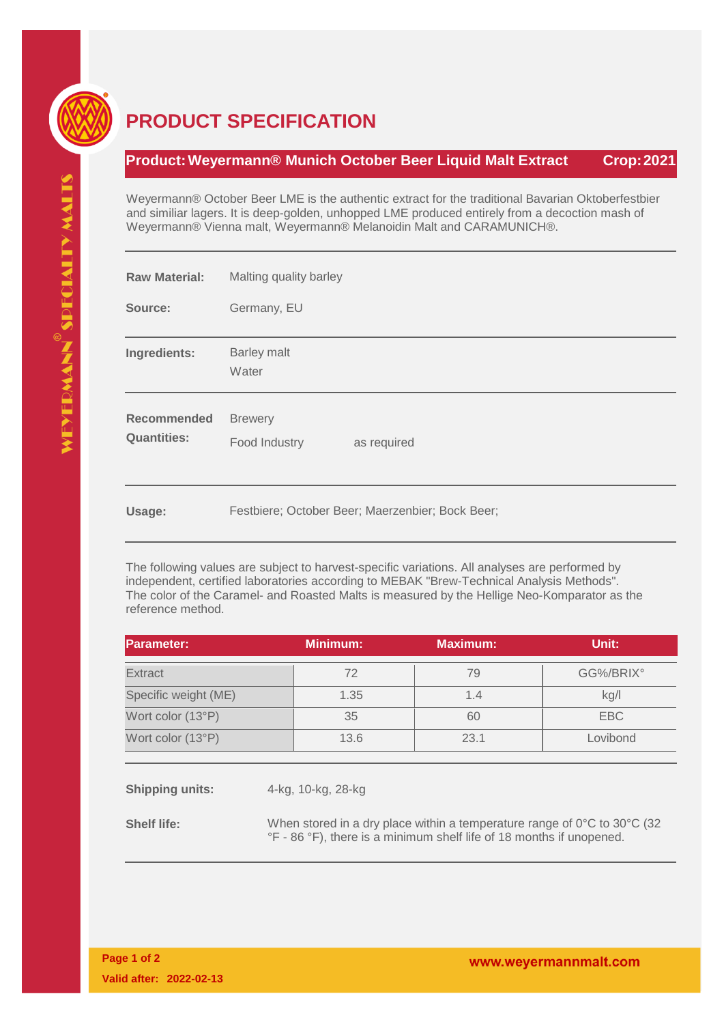

## **PRODUCT SPECIFICATION**

## **Product:Weyermann® Munich October Beer Liquid Malt Extract Crop:2021**

Weyermann® October Beer LME is the authentic extract for the traditional Bavarian Oktoberfestbier and similiar lagers. It is deep-golden, unhopped LME produced entirely from a decoction mash of Weyermann® Vienna malt, Weyermann® Melanoidin Malt and CARAMUNICH®.

| <b>Raw Material:</b>                     | Malting quality barley                           |  |  |
|------------------------------------------|--------------------------------------------------|--|--|
| Source:                                  | Germany, EU                                      |  |  |
| Ingredients:                             | <b>Barley malt</b><br>Water                      |  |  |
| <b>Recommended</b><br><b>Quantities:</b> | <b>Brewery</b><br>as required<br>Food Industry   |  |  |
| Usage:                                   | Festbiere; October Beer; Maerzenbier; Bock Beer; |  |  |

The following values are subject to harvest-specific variations. All analyses are performed by independent, certified laboratories according to MEBAK "Brew-Technical Analysis Methods". The color of the Caramel- and Roasted Malts is measured by the Hellige Neo-Komparator as the reference method.

| <b>Parameter:</b>    | <b>Minimum:</b> | Maximum: | Unit:     |
|----------------------|-----------------|----------|-----------|
| <b>Extract</b>       | 72              | 79       | GG%/BRIX° |
| Specific weight (ME) | 1.35            | 1.4      | kg/l      |
| Wort color (13°P)    | 35              | 60       | EBC       |
| Wort color (13°P)    | 13.6            | 23.1     | Lovibond  |
|                      |                 |          |           |

**Shipping units:** 4-kg, 10-kg, 28-kg

**Shelf life:** When stored in a dry place within a temperature range of 0°C to 30°C (32 °F - 86 °F), there is a minimum shelf life of 18 months if unopened.